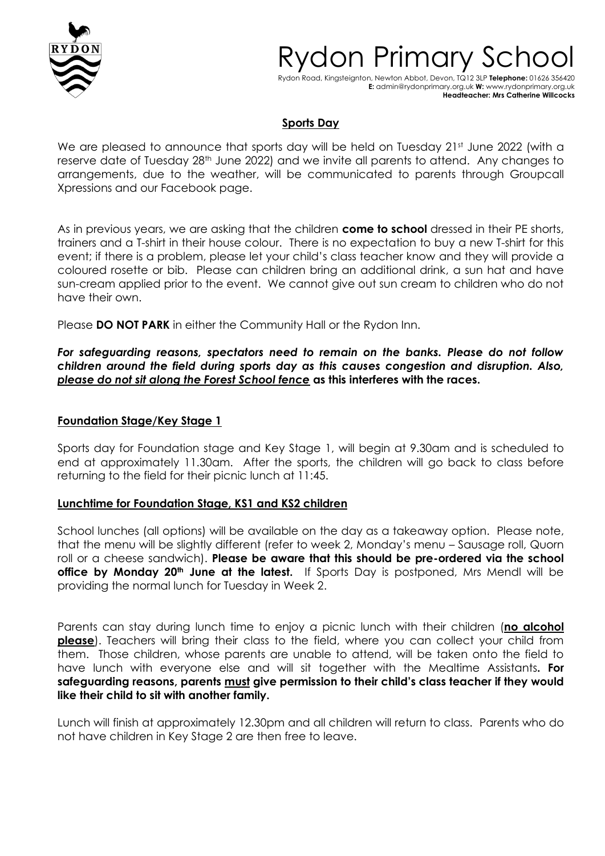

# vdon Primary Sc

Rydon Road, Kingsteignton, Newton Abbot, Devon, TQ12 3LP **Telephone:** 01626 356420 **E:** admin@rydonprimary.org.uk **W:** www.rydonprimary.org.uk **Headteacher: Mrs Catherine Willcocks**

## **Sports Day**

We are pleased to announce that sports day will be held on Tuesday 21st June 2022 (with a reserve date of Tuesday 28<sup>th</sup> June 2022) and we invite all parents to attend. Any changes to arrangements, due to the weather, will be communicated to parents through Groupcall Xpressions and our Facebook page.

As in previous years, we are asking that the children **come to school** dressed in their PE shorts, trainers and a T-shirt in their house colour. There is no expectation to buy a new T-shirt for this event; if there is a problem, please let your child's class teacher know and they will provide a coloured rosette or bib. Please can children bring an additional drink, a sun hat and have sun-cream applied prior to the event. We cannot give out sun cream to children who do not have their own.

Please **DO NOT PARK** in either the Community Hall or the Rydon Inn.

*For safeguarding reasons, spectators need to remain on the banks. Please do not follow children around the field during sports day as this causes congestion and disruption. Also, please do not sit along the Forest School fence* **as this interferes with the races.** 

#### **Foundation Stage/Key Stage 1**

Sports day for Foundation stage and Key Stage 1, will begin at 9.30am and is scheduled to end at approximately 11.30am. After the sports, the children will go back to class before returning to the field for their picnic lunch at 11:45.

#### **Lunchtime for Foundation Stage, KS1 and KS2 children**

School lunches (all options) will be available on the day as a takeaway option. Please note, that the menu will be slightly different (refer to week 2, Monday's menu – Sausage roll, Quorn roll or a cheese sandwich). **Please be aware that this should be pre-ordered via the school office by Monday 20th June at the latest.** If Sports Day is postponed, Mrs Mendl will be providing the normal lunch for Tuesday in Week 2.

Parents can stay during lunch time to enjoy a picnic lunch with their children (**no alcohol please**). Teachers will bring their class to the field, where you can collect your child from them. Those children, whose parents are unable to attend, will be taken onto the field to have lunch with everyone else and will sit together with the Mealtime Assistants**. For safeguarding reasons, parents must give permission to their child's class teacher if they would like their child to sit with another family.** 

Lunch will finish at approximately 12.30pm and all children will return to class. Parents who do not have children in Key Stage 2 are then free to leave.